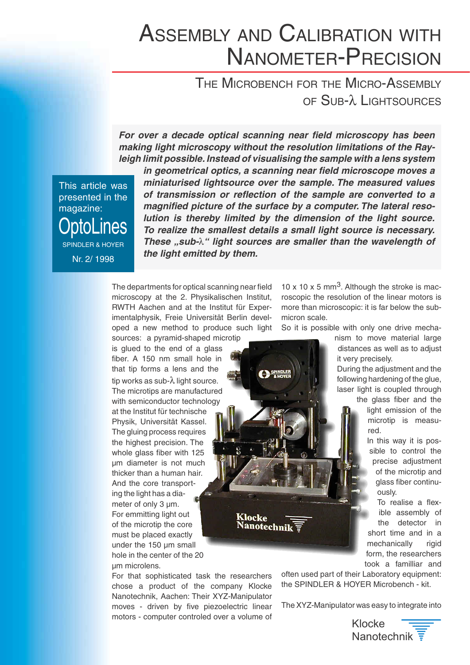## $T$ **CALIBRATION WITH<br>AETER–PRECISION<br>H for the Micro-Assembly** AND CALIBRA **ATION WITH<br>PRECISION<br>Micro-Assembly**<br>λ Lightsources **EXAMP CALIBRATION WITH**

 $\epsilon = \Omega_{\text{tr}} \lambda$  decays  $\epsilon = \epsilon$ **Making light microscopy with the resolution light microscopy with the resolution limitation in the Ray-**

**in geometrical optical scanning near field microscopy has been of transmission of the same interestion of the sample with a lens system** limit possible. Instead of visualising the sample with a lens system making light microscopy without the resolution limitations of the Raypresented in the Equation Forms

This article was presented in the nagazine: **Aostra** ines **SPINDLER & HOYER** 

mint possible: instead of visualising the sample with a lens system<br>in geometrical optics, a scanning near field microscope moves a **lution is the dimension is the dimension of the dimension of the dimension of the dimension of the measured values** *Thundrensed inginisource over the sample. The inclusived values*<br>of transmission or reflection of the sample are converted to a *the line brace by a comparent me lateral reso*<br>lution is thereby limited by the dimension of the light source. To realize the smallest details a small light source is necessary. magnified picture of the surface by a computer. The lateral reso-*Internal of thanomission of tenesion of the sample are converted to a*<br> *magnified picture of the surface by a computer. The lateral resolution is thereby limited by the dimension of the light source.*<br> *To realize the s*  $\mathbf{h}$  the light emitted by them.  $\mathcal{B}$  and at the Institut function  $\mathcal{B}$ 

The departments for optical scanning near field sources: a phoen committee microscopy at the 2. Physikalischen Institut, that the time time time that the time the sense oped a new method to produce such light RWTH Aachen and at the Institut für Experimentalphysik, Freie Universität Berlin devel-

imentalphysik, Freie Universität Berlin devel-

sources: a pyramid-shaped microtip<br>is glued to the end of a glass<br>fiber. A 150 nm small hole in<br>that tip forms a lens and the<br>tip works as sub- $\lambda$  light source.  $\frac{1}{10}$  is glued to the end of a glass  $fiber.$  A 150 nm small hole in that tip forms a lens and the The microtips are manufactured the microphysics manufactures tip works as sub- $\lambda$  light source. ur memerren rechnisene<br>Physik, Universität Kassel. this controller the controller<br>The gluing process requires the highest precision. The at the Institut für technische ing the precision the<br>whole glass fiber with 125 undiameter is not much find shares to the mast  $m$ g are  $n$ g in the  $a$  and  $\alpha$ <br>meter of only 3  $\mu$ m.  $\frac{1}{2}$  For emmitting light out And the core transportof the microtip the core ing the light has a dia-Francisco that sometime that sometime the researchers that the researchers that the researchers that the researchers chose a product of the company Klocket of the company Klocket of the company Klocket of the company Klocket of the company Klocket of the company Klocket of the company Klocket of the company Klocket of the company Klocket ander the reciping small of the 20  $\frac{1}{2}$  movements of the  $\frac{1}{2}$  pm microlens.

For that sophisticated task the researchers chose a product of the company Klocke Nanotechnik, Aachen: Their XYZ-Manipulator moves - driven by five piezoelectric linear motors - computer controled over a volume of

Klocke

10 x 10 x 5 mm<sup>3</sup>. Although the stroke is macnism to the move is that<br>solution of the linear motors is distances and model include to  $\frac{1}{2}$ it very precisely. micron scale.

So it is possible with only one drive mecha-

 $\frac{1}{2}$  following the game income. lastic instruction throughout its coupled throughout distances as well as to adjust it very precisely. to go at the fiber and the grapher.

esissi<sub>)</sub>.<br>he adjustment and the make the comparator of the glue, red.com.gov.ing.g.e.c. In the escription and the

ight emission of the precise and the state and of the modes<br>d red.<br>In this way it is pos-

ole to control the ments control and is the microtip and short time and in an and in an and in an and in an antiglass fiber continu-

form, the researchers Nanotechnik in the Association of the XYZ-Manipulator was easy to the XYZ-Manipulator was expressed to the XYZ-Manipulator was expressed to the XYZ-Manipulator was expected to the XYZ-Manipulator was expected to the XYZ-Ma  $\frac{1}{2}$  ible assembly of the detector in To realise a flexrigid **Nanotechnik**  $\overline{r}$  and the detector in  $\overline{r}$  short time and in a mechanically

often used part of their Laboratory equipment: the SPINDLER & HOYER Microbench - kit.

The XYZ-Manipulator was easy to integrate into